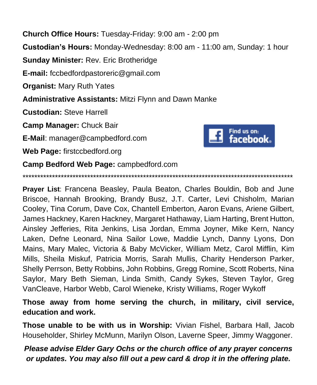**Church Office Hours:** Tuesday-Friday: 9:00 am - 2:00 pm **Custodian's Hours:** Monday-Wednesday: 8:00 am - 11:00 am, Sunday: 1 hour **Sunday Minister:** Rev. Eric Brotheridge **E-mail:** fccbedfordpastoreric@gmail.com **Organist:** Mary Ruth Yates **Administrative Assistants:** Mitzi Flynn and Dawn Manke **Custodian:** Steve Harrell **Camp Manager:** Chuck Bair Find us on: **E-Mail**: manager@campbedford.com facebook. **Web Page:** firstccbedford.org **Camp Bedford Web Page:** campbedford.com

**Prayer List**: Francena Beasley, Paula Beaton, Charles Bouldin, Bob and June Briscoe, Hannah Brooking, Brandy Busz, J.T. Carter, Levi Chisholm, Marian Cooley, Tina Corum, Dave Cox, Chantell Emberton, Aaron Evans, Ariene Gilbert, James Hackney, Karen Hackney, Margaret Hathaway, Liam Harting, Brent Hutton, Ainsley Jefferies, Rita Jenkins, Lisa Jordan, Emma Joyner, Mike Kern, Nancy Laken, Defne Leonard, Nina Sailor Lowe, Maddie Lynch, Danny Lyons, Don Mains, Mary Malec, Victoria & Baby McVicker, William Metz, Carol Mifflin, Kim Mills, Sheila Miskuf, Patricia Morris, Sarah Mullis, Charity Henderson Parker, Shelly Perrson, Betty Robbins, John Robbins, Gregg Romine, Scott Roberts, Nina Saylor, Mary Beth Sieman, Linda Smith, Candy Sykes, Steven Taylor, Greg VanCleave, Harbor Webb, Carol Wieneke, Kristy Williams, Roger Wykoff

\*\*\*\*\*\*\*\*\*\*\*\*\*\*\*\*\*\*\*\*\*\*\*\*\*\*\*\*\*\*\*\*\*\*\*\*\*\*\*\*\*\*\*\*\*\*\*\*\*\*\*\*\*\*\*\*\*\*\*\*\*\*\*\*\*\*\*\*\*\*\*\*\*\*\*\*\*\*\*\*\*\*\*\*\*\*\*\*\*\*\*\*

**Those away from home serving the church, in military, civil service, education and work.**

**Those unable to be with us in Worship:** Vivian Fishel, Barbara Hall, Jacob Householder, Shirley McMunn, Marilyn Olson, Laverne Speer, Jimmy Waggoner.

*Please advise Elder Gary Ochs or the church office of any prayer concerns or updates. You may also fill out a pew card & drop it in the offering plate.*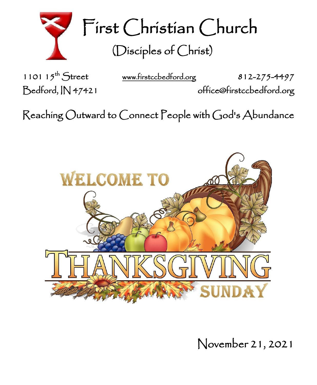

First Christian Church (Disciples of Christ)

1101  $15^{th}$  Street

[www.firstccbedford.org](http://www.firstccbedford.org/) 812-275-4497 Bedford, IN 47421 office@firstccbedford.org

Reaching Outward to Connect People with God's Abundance



November 21, 2021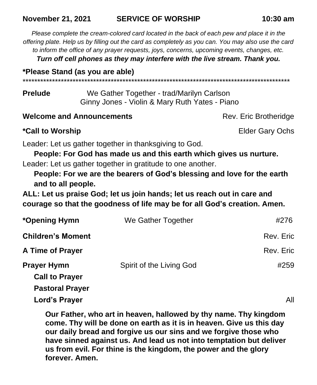#### **November 21, 2021 SERVICE OF WORSHIP 10:30 am**

*Please complete the cream-colored card located in the back of each pew and place it in the offering plate. Help us by filling out the card as completely as you can. You may also use the card to inform the office of any prayer requests, joys, concerns, upcoming events, changes, etc.*

*Turn off cell phones as they may interfere with the live stream. Thank you.*

**\*Please Stand (as you are able)**

\*\*\*\*\*\*\*\*\*\*\*\*\*\*\*\*\*\*\*\*\*\*\*\*\*\*\*\*\*\*\*\*\*\*\*\*\*\*\*\*\*\*\*\*\*\*\*\*\*\*\*\*\*\*\*\*\*\*\*\*\*\*\*\*\*\*\*\*\*\*\*\*\*\*\*\*\*\*\*\*\*\*\*\*\*\*\*\*\*\*\*

**Prelude** We Gather Together - trad/Marilyn Carlson Ginny Jones - Violin & Mary Ruth Yates - Piano

**Welcome and Announcements Rev. Eric Brotheridge** Rev. Eric Brotheridge

**\*Call to Worship** Elder Gary Ochs

Leader: Let us gather together in thanksgiving to God.

**People: For God has made us and this earth which gives us nurture.** Leader: Let us gather together in gratitude to one another.

**People: For we are the bearers of God's blessing and love for the earth and to all people.**

**ALL: Let us praise God; let us join hands; let us reach out in care and courage so that the goodness of life may be for all God's creation. Amen.**

| *Opening Hymn            | We Gather Together       | #276      |
|--------------------------|--------------------------|-----------|
| <b>Children's Moment</b> |                          | Rev. Eric |
| A Time of Prayer         |                          | Rev. Eric |
| <b>Prayer Hymn</b>       | Spirit of the Living God | #259      |
| <b>Call to Prayer</b>    |                          |           |
| <b>Pastoral Prayer</b>   |                          |           |
| Lord's Prayer            |                          | All       |

**Our Father, who art in heaven, hallowed by thy name. Thy kingdom come. Thy will be done on earth as it is in heaven. Give us this day our daily bread and forgive us our sins and we forgive those who have sinned against us. And lead us not into temptation but deliver us from evil. For thine is the kingdom, the power and the glory forever. Amen.**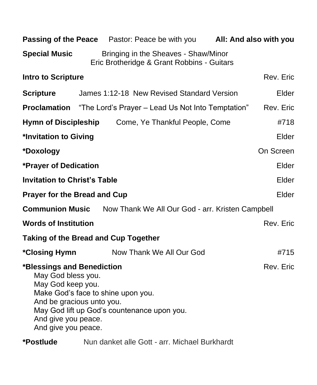|                                                                                                                                                                                                                                                    |  | <b>Passing of the Peace</b> Pastor: Peace be with you <b>All: And also with you</b> |           |  |
|----------------------------------------------------------------------------------------------------------------------------------------------------------------------------------------------------------------------------------------------------|--|-------------------------------------------------------------------------------------|-----------|--|
| <b>Special Music</b>                                                                                                                                                                                                                               |  | Bringing in the Sheaves - Shaw/Minor<br>Eric Brotheridge & Grant Robbins - Guitars  |           |  |
| <b>Intro to Scripture</b><br>Rev. Eric                                                                                                                                                                                                             |  |                                                                                     |           |  |
| <b>Scripture</b>                                                                                                                                                                                                                                   |  | James 1:12-18 New Revised Standard Version                                          | Elder     |  |
|                                                                                                                                                                                                                                                    |  | <b>Proclamation</b> "The Lord's Prayer - Lead Us Not Into Temptation"               | Rev. Eric |  |
|                                                                                                                                                                                                                                                    |  | Hymn of Discipleship Come, Ye Thankful People, Come                                 | #718      |  |
| *Invitation to Giving<br>Elder                                                                                                                                                                                                                     |  |                                                                                     |           |  |
| *Doxology                                                                                                                                                                                                                                          |  |                                                                                     | On Screen |  |
| *Prayer of Dedication                                                                                                                                                                                                                              |  |                                                                                     | Elder     |  |
| <b>Invitation to Christ's Table</b>                                                                                                                                                                                                                |  | Elder                                                                               |           |  |
| <b>Prayer for the Bread and Cup</b>                                                                                                                                                                                                                |  | Elder                                                                               |           |  |
| <b>Communion Music</b><br>Now Thank We All Our God - arr. Kristen Campbell                                                                                                                                                                         |  |                                                                                     |           |  |
| <b>Words of Institution</b>                                                                                                                                                                                                                        |  |                                                                                     | Rev. Eric |  |
| <b>Taking of the Bread and Cup Together</b>                                                                                                                                                                                                        |  |                                                                                     |           |  |
| <i><b>*Closing Hymn</b></i>                                                                                                                                                                                                                        |  | Now Thank We All Our God                                                            | #715      |  |
| Rev. Eric<br>*Blessings and Benediction<br>May God bless you.<br>May God keep you.<br>Make God's face to shine upon you.<br>And be gracious unto you.<br>May God lift up God's countenance upon you.<br>And give you peace.<br>And give you peace. |  |                                                                                     |           |  |
| *Postlude                                                                                                                                                                                                                                          |  | Nun danket alle Gott - arr. Michael Burkhardt                                       |           |  |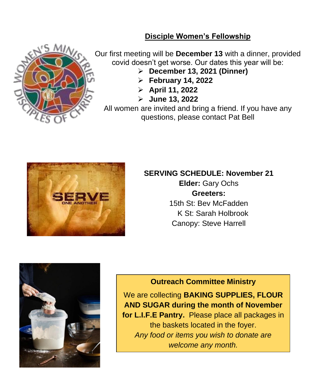## **Disciple Women's Fellowship**



Our first meeting will be **December 13** with a dinner, provided covid doesn't get worse. Our dates this year will be:

- ➢ **December 13, 2021 (Dinner)**
- ➢ **February 14, 2022**
- ➢ **April 11, 2022**
- ➢ **June 13, 2022**

All women are invited and bring a friend. If you have any questions, please contact Pat Bell



# **SERVING SCHEDULE: November 21**

**Elder:** Gary Ochs **Greeters:** 15th St: Bev McFadden K St: Sarah Holbrook Canopy: Steve Harrell



## **Outreach Committee Ministry**

We are collecting **BAKING SUPPLIES, FLOUR AND SUGAR during the month of November for L.I.F.E Pantry.** Please place all packages in the baskets located in the foyer. *Any food or items you wish to donate are welcome any month.*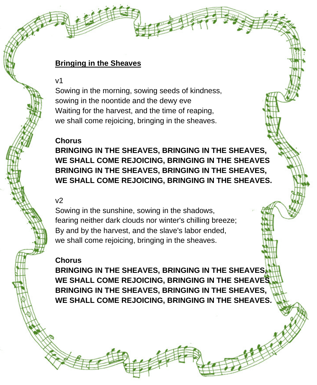## **Bringing in the Sheaves**

v1

Sowing in the morning, sowing seeds of kindness, sowing in the noontide and the dewy eve Waiting for the harvest, and the time of reaping, we shall come rejoicing, bringing in the sheaves.

## **Chorus**

**BRINGING IN THE SHEAVES, BRINGING IN THE SHEAVES, WE SHALL COME REJOICING, BRINGING IN THE SHEAVES BRINGING IN THE SHEAVES, BRINGING IN THE SHEAVES, WE SHALL COME REJOICING, BRINGING IN THE SHEAVES.** 

## $v<sub>2</sub>$

Sowing in the sunshine, sowing in the shadows, fearing neither dark clouds nor winter's chilling breeze; By and by the harvest, and the slave's labor ended, we shall come rejoicing, bringing in the sheaves.

#### **Chorus**

**BRINGING IN THE SHEAVES, BRINGING IN THE SHEAVES, WE SHALL COME REJOICING, BRINGING IN THE SHEAVES BRINGING IN THE SHEAVES, BRINGING IN THE SHEAVES, WE SHALL COME REJOICING, BRINGING IN THE SHEAVES.**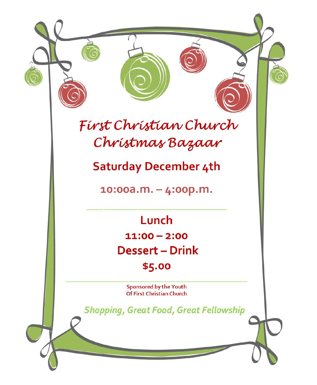